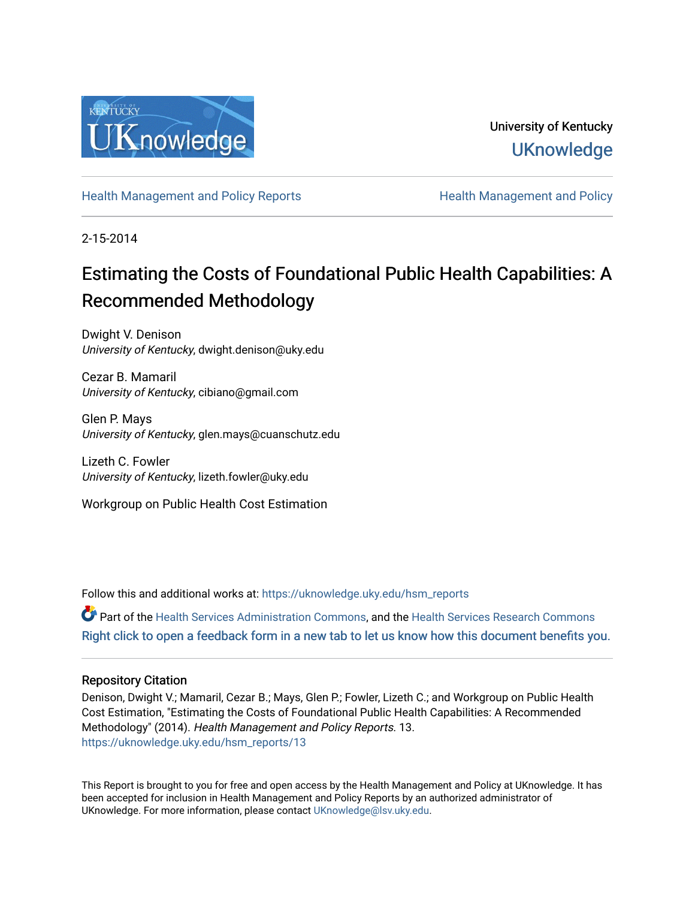

University of Kentucky **UKnowledge** 

[Health Management and Policy Reports](https://uknowledge.uky.edu/hsm_reports) **Health Management and Policy** Health Management and Policy

2-15-2014

# Estimating the Costs of Foundational Public Health Capabilities: A Recommended Methodology

Dwight V. Denison University of Kentucky, dwight.denison@uky.edu

Cezar B. Mamaril University of Kentucky, cibiano@gmail.com

Glen P. Mays University of Kentucky, glen.mays@cuanschutz.edu

Lizeth C. Fowler University of Kentucky, lizeth.fowler@uky.edu

Workgroup on Public Health Cost Estimation

Follow this and additional works at: [https://uknowledge.uky.edu/hsm\\_reports](https://uknowledge.uky.edu/hsm_reports?utm_source=uknowledge.uky.edu%2Fhsm_reports%2F13&utm_medium=PDF&utm_campaign=PDFCoverPages)

Part of the [Health Services Administration Commons,](http://network.bepress.com/hgg/discipline/747?utm_source=uknowledge.uky.edu%2Fhsm_reports%2F13&utm_medium=PDF&utm_campaign=PDFCoverPages) and the [Health Services Research Commons](http://network.bepress.com/hgg/discipline/816?utm_source=uknowledge.uky.edu%2Fhsm_reports%2F13&utm_medium=PDF&utm_campaign=PDFCoverPages) [Right click to open a feedback form in a new tab to let us know how this document benefits you.](https://uky.az1.qualtrics.com/jfe/form/SV_9mq8fx2GnONRfz7)

#### Repository Citation

Denison, Dwight V.; Mamaril, Cezar B.; Mays, Glen P.; Fowler, Lizeth C.; and Workgroup on Public Health Cost Estimation, "Estimating the Costs of Foundational Public Health Capabilities: A Recommended Methodology" (2014). Health Management and Policy Reports. 13. [https://uknowledge.uky.edu/hsm\\_reports/13](https://uknowledge.uky.edu/hsm_reports/13?utm_source=uknowledge.uky.edu%2Fhsm_reports%2F13&utm_medium=PDF&utm_campaign=PDFCoverPages) 

This Report is brought to you for free and open access by the Health Management and Policy at UKnowledge. It has been accepted for inclusion in Health Management and Policy Reports by an authorized administrator of UKnowledge. For more information, please contact [UKnowledge@lsv.uky.edu](mailto:UKnowledge@lsv.uky.edu).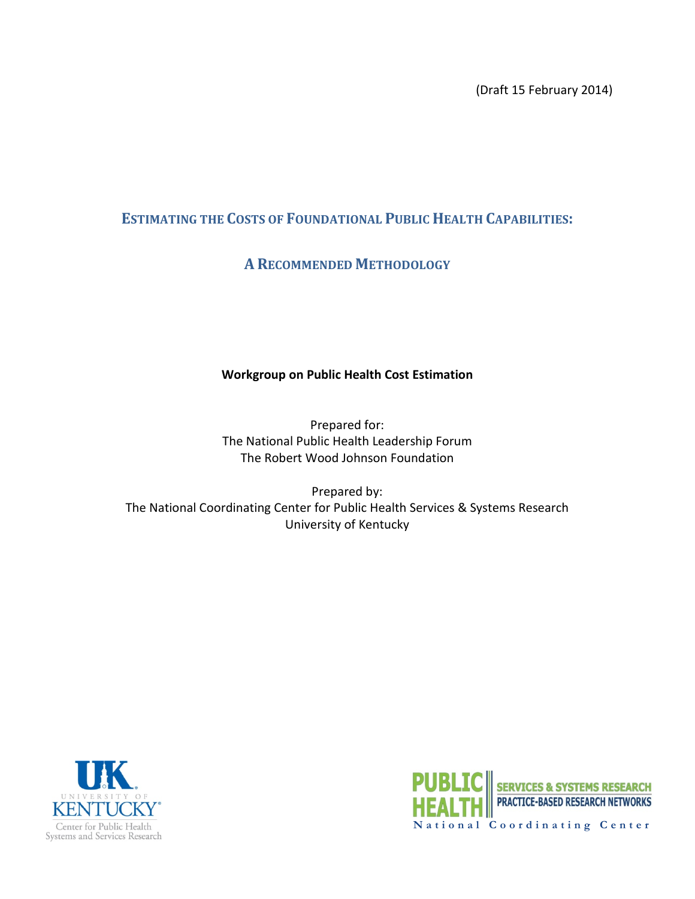(Draft 15 February 2014)

#### **ESTIMATING THE COSTS OF FOUNDATIONAL PUBLIC HEALTH CAPABILITIES:**

#### **A RECOMMENDED METHODOLOGY**

#### **Workgroup on Public Health Cost Estimation**

Prepared for: The National Public Health Leadership Forum The Robert Wood Johnson Foundation

Prepared by: The National Coordinating Center for Public Health Services & Systems Research University of Kentucky



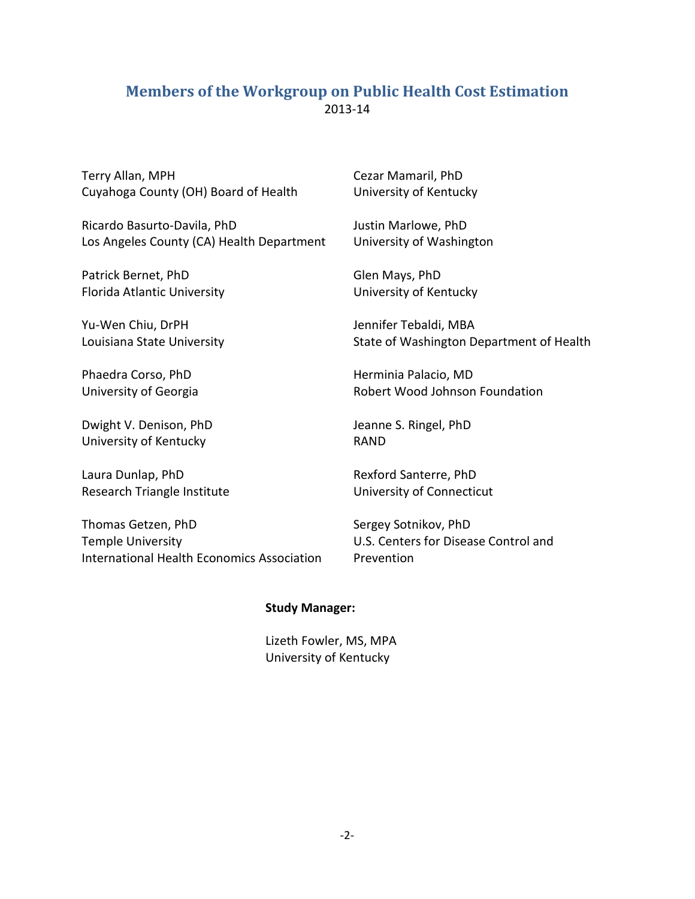#### <span id="page-2-0"></span>**Members of the Workgroup on Public Health Cost Estimation** 2013-14

Terry Allan, MPH Cuyahoga County (OH) Board of Health

Ricardo Basurto-Davila, PhD Los Angeles County (CA) Health Department

Patrick Bernet, PhD Florida Atlantic University

Yu-Wen Chiu, DrPH Louisiana State University

Phaedra Corso, PhD University of Georgia

Dwight V. Denison, PhD University of Kentucky

Laura Dunlap, PhD Research Triangle Institute

Thomas Getzen, PhD Temple University International Health Economics Association Cezar Mamaril, PhD University of Kentucky

Justin Marlowe, PhD University of Washington

Glen Mays, PhD University of Kentucky

Jennifer Tebaldi, MBA State of Washington Department of Health

Herminia Palacio, MD Robert Wood Johnson Foundation

Jeanne S. Ringel, PhD RAND

Rexford Santerre, PhD University of Connecticut

Sergey Sotnikov, PhD U.S. Centers for Disease Control and Prevention

#### **Study Manager:**

Lizeth Fowler, MS, MPA University of Kentucky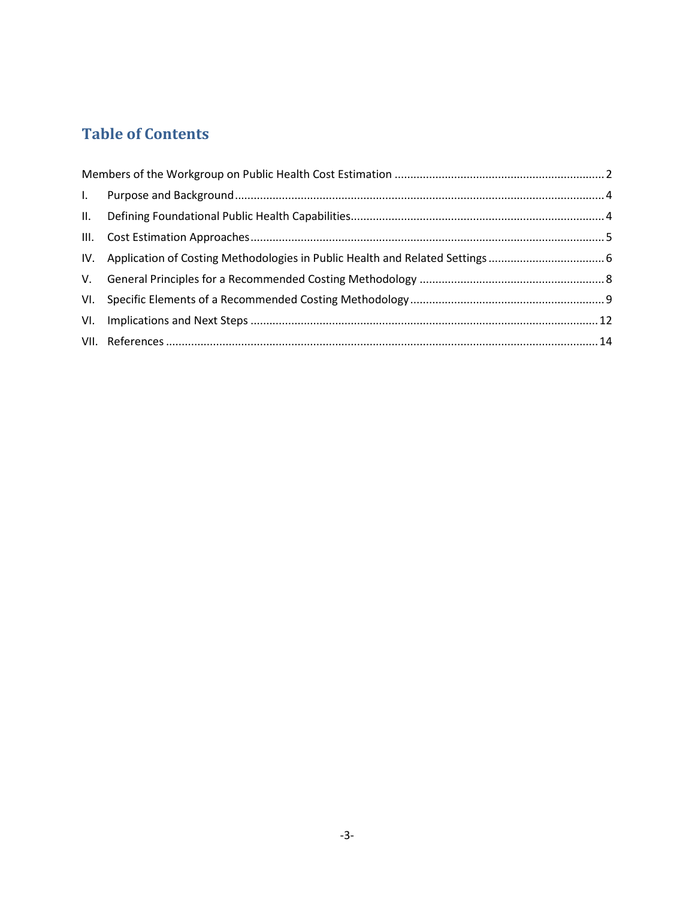# **Table of Contents**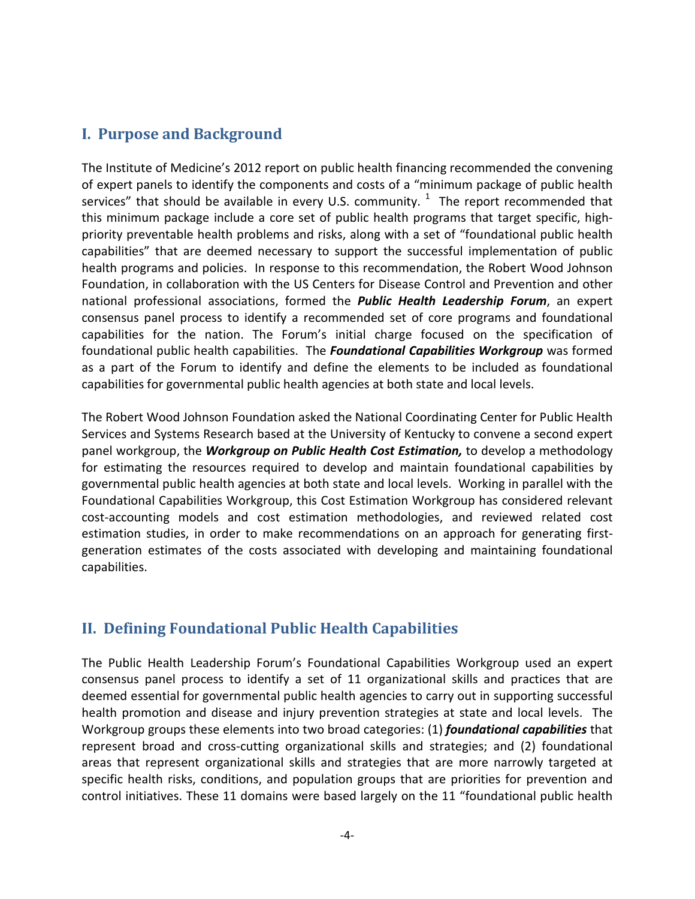#### <span id="page-4-0"></span>**I. Purpose and Background**

The Institute of Medicine's 2012 report on public health financing recommended the convening of expert panels to identify the components and costs of a "minimum package of public health services" that should be available in every U.S. community.  $1$  The report recommended that this minimum package include a core set of public health programs that target specific, highpriority preventable health problems and risks, along with a set of "foundational public health capabilities" that are deemed necessary to support the successful implementation of public health programs and policies. In response to this recommendation, the Robert Wood Johnson Foundation, in collaboration with the US Centers for Disease Control and Prevention and other national professional associations, formed the *Public Health Leadership Forum*, an expert consensus panel process to identify a recommended set of core programs and foundational capabilities for the nation. The Forum's initial charge focused on the specification of foundational public health capabilities. The *Foundational Capabilities Workgroup* was formed as a part of the Forum to identify and define the elements to be included as foundational capabilities for governmental public health agencies at both state and local levels.

The Robert Wood Johnson Foundation asked the National Coordinating Center for Public Health Services and Systems Research based at the University of Kentucky to convene a second expert panel workgroup, the *Workgroup on Public Health Cost Estimation,* to develop a methodology for estimating the resources required to develop and maintain foundational capabilities by governmental public health agencies at both state and local levels. Working in parallel with the Foundational Capabilities Workgroup, this Cost Estimation Workgroup has considered relevant cost-accounting models and cost estimation methodologies, and reviewed related cost estimation studies, in order to make recommendations on an approach for generating firstgeneration estimates of the costs associated with developing and maintaining foundational capabilities.

## <span id="page-4-1"></span>**II. Defining Foundational Public Health Capabilities**

The Public Health Leadership Forum's Foundational Capabilities Workgroup used an expert consensus panel process to identify a set of 11 organizational skills and practices that are deemed essential for governmental public health agencies to carry out in supporting successful health promotion and disease and injury prevention strategies at state and local levels. The Workgroup groups these elements into two broad categories: (1) *foundational capabilities* that represent broad and cross-cutting organizational skills and strategies; and (2) foundational areas that represent organizational skills and strategies that are more narrowly targeted at specific health risks, conditions, and population groups that are priorities for prevention and control initiatives. These 11 domains were based largely on the 11 "foundational public health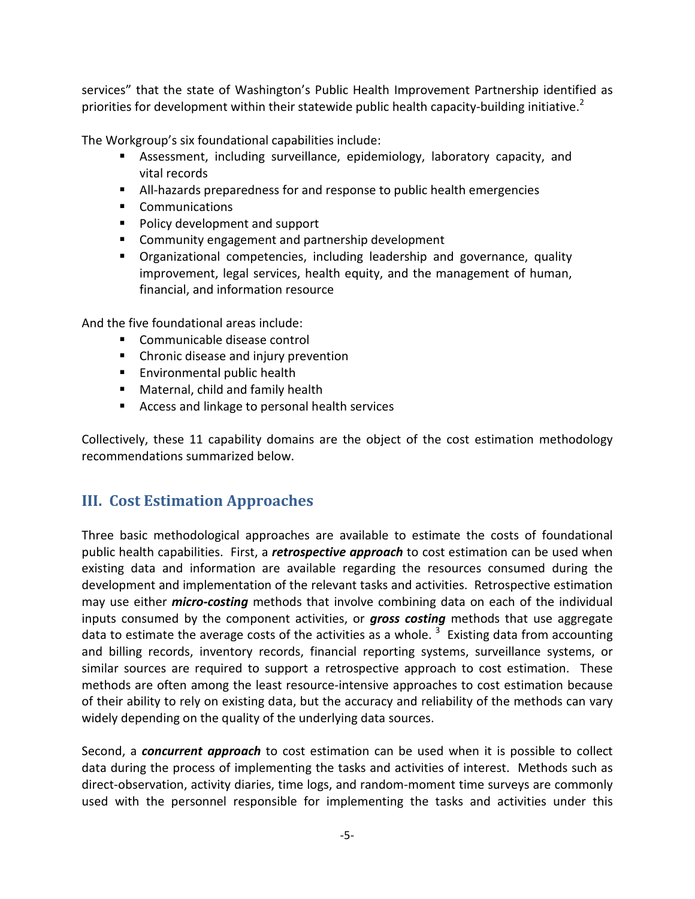services" that the state of Washington's Public Health Improvement Partnership identified as priorities for development within their statewide public health capacity-building initiative[.](#page-14-1)<sup>2</sup>

The Workgroup's six foundational capabilities include:

- Assessment, including surveillance, epidemiology, laboratory capacity, and vital records
- All-hazards preparedness for and response to public health emergencies
- **Communications**
- Policy development and support
- **EXTER** Community engagement and partnership development
- Organizational competencies, including leadership and governance, quality improvement, legal services, health equity, and the management of human, financial, and information resource

And the five foundational areas include:

- **Communicable disease control**
- **E** Chronic disease and injury prevention
- **Environmental public health**
- **Maternal, child and family health**
- Access and linkage to personal health services

Collectively, these 11 capability domains are the object of the cost estimation methodology recommendations summarized below.

## <span id="page-5-0"></span>**III. Cost Estimation Approaches**

Three basic methodological approaches are available to estimate the costs of foundational public health capabilities. First, a *retrospective approach* to cost estimation can be used when existing data and information are available regarding the resources consumed during the development and implementation of the relevant tasks and activities. Retrospective estimation may use either *micro-costing* methods that involve combining data on each of the individual inputs consumed by the component activities, or *gross costing* methods that use aggregate data to estimate the average costs of the activities as a whole.  $^3$  $^3$  Existing data from accounting and billing records, inventory records, financial reporting systems, surveillance systems, or similar sources are required to support a retrospective approach to cost estimation. These methods are often among the least resource-intensive approaches to cost estimation because of their ability to rely on existing data, but the accuracy and reliability of the methods can vary widely depending on the quality of the underlying data sources.

Second, a *concurrent approach* to cost estimation can be used when it is possible to collect data during the process of implementing the tasks and activities of interest. Methods such as direct-observation, activity diaries, time logs, and random-moment time surveys are commonly used with the personnel responsible for implementing the tasks and activities under this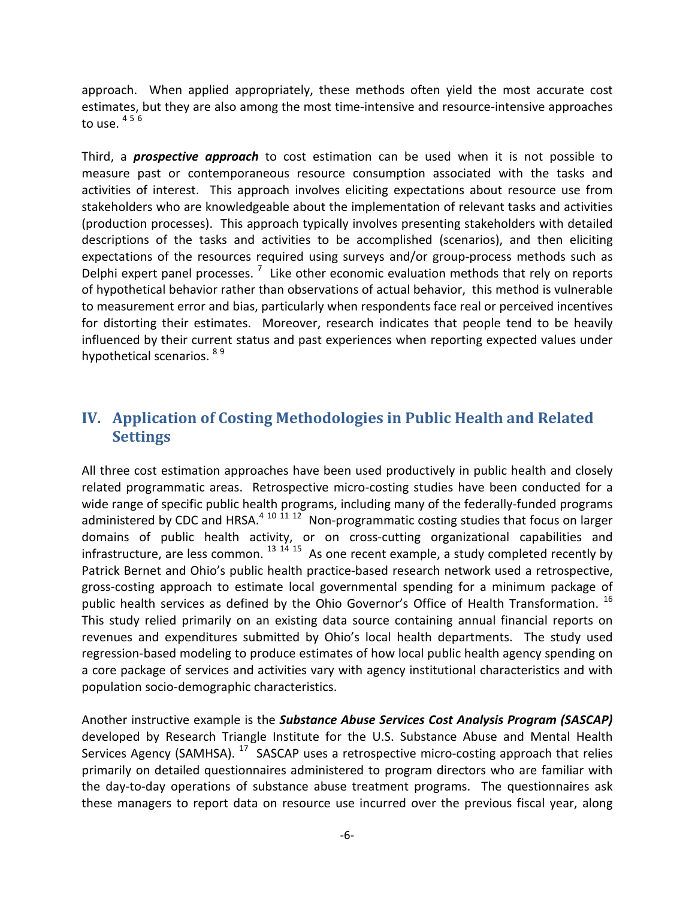approach. When applied appropriately, these methods often yield the most accurate cost estimates, but they are also among the most time-intensive and resource-intensive approaches to use.  $456$  $456$  $456$ 

Third, a *prospective approach* to cost estimation can be used when it is not possible to measure past or contemporaneous resource consumption associated with the tasks and activities of interest. This approach involves eliciting expectations about resource use from stakeholders who are knowledgeable about the implementation of relevant tasks and activities (production processes). This approach typically involves presenting stakeholders with detailed descriptions of the tasks and activities to be accomplished (scenarios), and then eliciting expectations of the resources required using surveys and/or group-process methods such as Delphi expert panel processes.<sup>[7](#page-14-6)</sup> Like other economic evaluation methods that rely on reports of hypothetical behavior rather than observations of actual behavior, this method is vulnerable to measurement error and bias, particularly when respondents face real or perceived incentives for distorting their estimates. Moreover, research indicates that people tend to be heavily influenced by their current status and past experiences when reporting expected values under hypothetical scenarios. <sup>[8](#page-14-7)[9](#page-14-8)</sup>

#### <span id="page-6-0"></span>**IV. Application of Costing Methodologies in Public Health and Related Settings**

All three cost estimation approaches have been used productively in public health and closely related programmatic areas. Retrospective micro-costing studies have been conducted for a wide range of specific public health programs, including many of the federally-funded programs administered by CDC and HRSA. $4^{10}$  $4^{10}$  $4^{10}$  [11](#page-14-10) [12](#page-14-11) Non-programmatic costing studies that focus on larger domains of public health activity, or on cross-cutting organizational capabilities and infrastructure, are less common.  $^{13}$  $^{13}$  $^{13}$   $^{14}$  $^{14}$  $^{14}$   $^{15}$  $^{15}$  $^{15}$  As one recent example, a study completed recently by Patrick Bernet and Ohio's public health practice-based research network used a retrospective, gross-costing approach to estimate local governmental spending for a minimum package of public health services as defined by the Ohio Governor's Office of Health Transformation. <sup>[16](#page-15-0)</sup> This study relied primarily on an existing data source containing annual financial reports on revenues and expenditures submitted by Ohio's local health departments. The study used regression-based modeling to produce estimates of how local public health agency spending on a core package of services and activities vary with agency institutional characteristics and with population socio-demographic characteristics.

Another instructive example is the *Substance Abuse Services Cost Analysis Program (SASCAP)* developed by Research Triangle Institute for the U.S. Substance Abuse and Mental Health Services Agency (SAMHSA). <sup>[17](#page-15-1)</sup> SASCAP uses a retrospective micro-costing approach that relies primarily on detailed questionnaires administered to program directors who are familiar with the day-to-day operations of substance abuse treatment programs. The questionnaires ask these managers to report data on resource use incurred over the previous fiscal year, along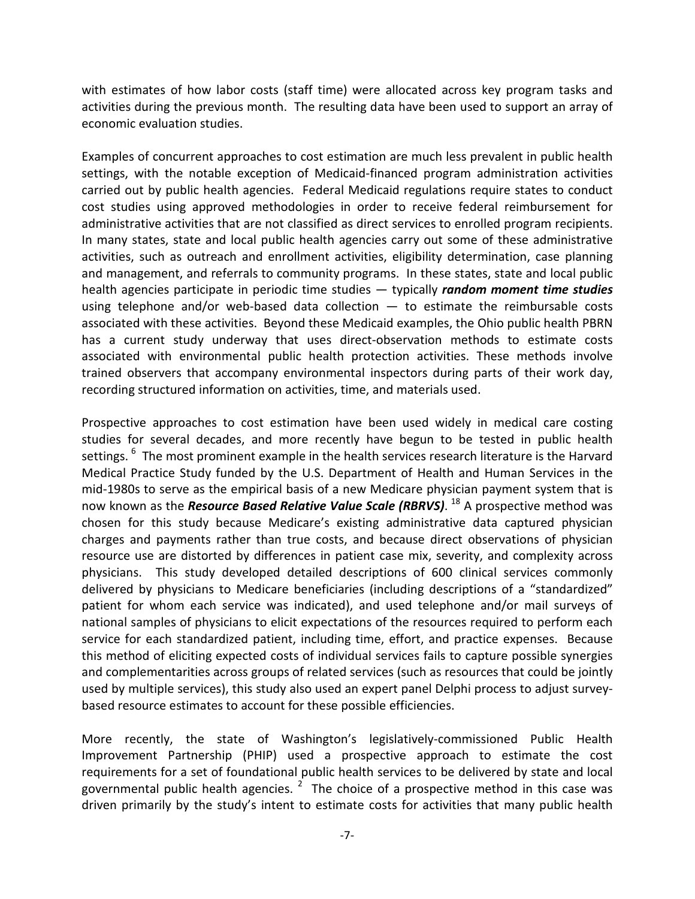with estimates of how labor costs (staff time) were allocated across key program tasks and activities during the previous month. The resulting data have been used to support an array of economic evaluation studies.

Examples of concurrent approaches to cost estimation are much less prevalent in public health settings, with the notable exception of Medicaid-financed program administration activities carried out by public health agencies. Federal Medicaid regulations require states to conduct cost studies using approved methodologies in order to receive federal reimbursement for administrative activities that are not classified as direct services to enrolled program recipients. In many states, state and local public health agencies carry out some of these administrative activities, such as outreach and enrollment activities, eligibility determination, case planning and management, and referrals to community programs. In these states, state and local public health agencies participate in periodic time studies — typically *random moment time studies* using telephone and/or web-based data collection  $-$  to estimate the reimbursable costs associated with these activities. Beyond these Medicaid examples, the Ohio public health PBRN has a current study underway that uses direct-observation methods to estimate costs associated with environmental public health protection activities. These methods involve trained observers that accompany environmental inspectors during parts of their work day, recording structured information on activities, time, and materials used.

Prospective approaches to cost estimation have been used widely in medical care costing studies for several decades, and more recently have begun to be tested in public health settings. <sup>[6](#page-14-5)</sup> The most prominent example in the health services research literature is the Harvard Medical Practice Study funded by the U.S. Department of Health and Human Services in the mid-1980s to serve as the empirical basis of a new Medicare physician payment system that is now known as the *Resource Based Relative Value Scale (RBRVS)*. [18](#page-15-2) A prospective method was chosen for this study because Medicare's existing administrative data captured physician charges and payments rather than true costs, and because direct observations of physician resource use are distorted by differences in patient case mix, severity, and complexity across physicians. This study developed detailed descriptions of 600 clinical services commonly delivered by physicians to Medicare beneficiaries (including descriptions of a "standardized" patient for whom each service was indicated), and used telephone and/or mail surveys of national samples of physicians to elicit expectations of the resources required to perform each service for each standardized patient, including time, effort, and practice expenses. Because this method of eliciting expected costs of individual services fails to capture possible synergies and complementarities across groups of related services (such as resources that could be jointly used by multiple services), this study also used an expert panel Delphi process to adjust surveybased resource estimates to account for these possible efficiencies.

More recently, the state of Washington's legislatively-commissioned Public Health Improvement Partnership (PHIP) used a prospective approach to estimate the cost requirements for a set of foundational public health services to be delivered by state and local governmental public health agencies.  $^2$  $^2$  The choice of a prospective method in this case was driven primarily by the study's intent to estimate costs for activities that many public health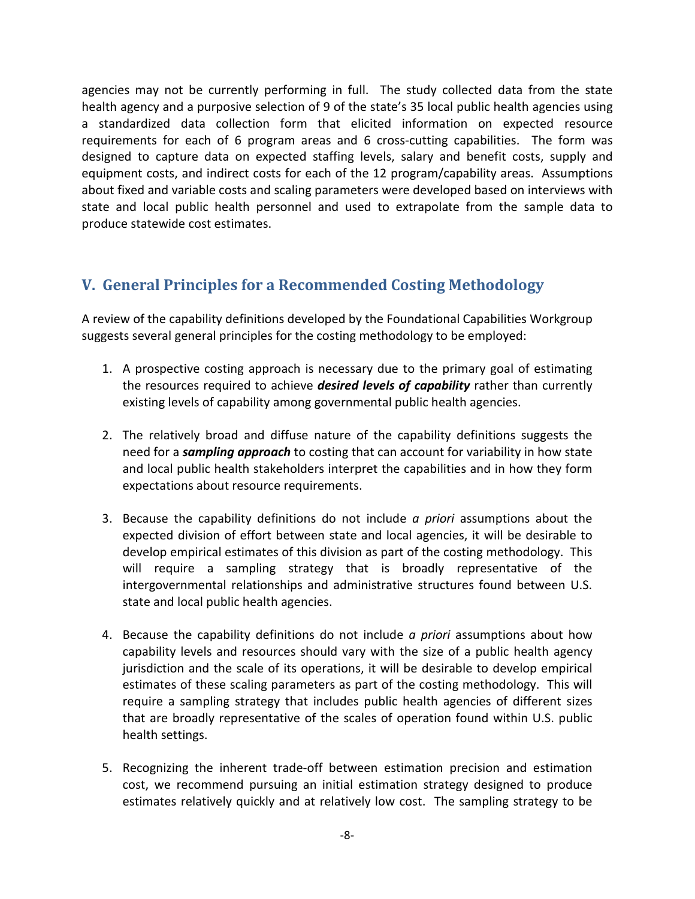agencies may not be currently performing in full. The study collected data from the state health agency and a purposive selection of 9 of the state's 35 local public health agencies using a standardized data collection form that elicited information on expected resource requirements for each of 6 program areas and 6 cross-cutting capabilities. The form was designed to capture data on expected staffing levels, salary and benefit costs, supply and equipment costs, and indirect costs for each of the 12 program/capability areas. Assumptions about fixed and variable costs and scaling parameters were developed based on interviews with state and local public health personnel and used to extrapolate from the sample data to produce statewide cost estimates.

## <span id="page-8-0"></span>**V. General Principles for a Recommended Costing Methodology**

A review of the capability definitions developed by the Foundational Capabilities Workgroup suggests several general principles for the costing methodology to be employed:

- 1. A prospective costing approach is necessary due to the primary goal of estimating the resources required to achieve *desired levels of capability* rather than currently existing levels of capability among governmental public health agencies.
- 2. The relatively broad and diffuse nature of the capability definitions suggests the need for a *sampling approach* to costing that can account for variability in how state and local public health stakeholders interpret the capabilities and in how they form expectations about resource requirements.
- 3. Because the capability definitions do not include *a priori* assumptions about the expected division of effort between state and local agencies, it will be desirable to develop empirical estimates of this division as part of the costing methodology. This will require a sampling strategy that is broadly representative of the intergovernmental relationships and administrative structures found between U.S. state and local public health agencies.
- 4. Because the capability definitions do not include *a priori* assumptions about how capability levels and resources should vary with the size of a public health agency jurisdiction and the scale of its operations, it will be desirable to develop empirical estimates of these scaling parameters as part of the costing methodology. This will require a sampling strategy that includes public health agencies of different sizes that are broadly representative of the scales of operation found within U.S. public health settings.
- 5. Recognizing the inherent trade-off between estimation precision and estimation cost, we recommend pursuing an initial estimation strategy designed to produce estimates relatively quickly and at relatively low cost. The sampling strategy to be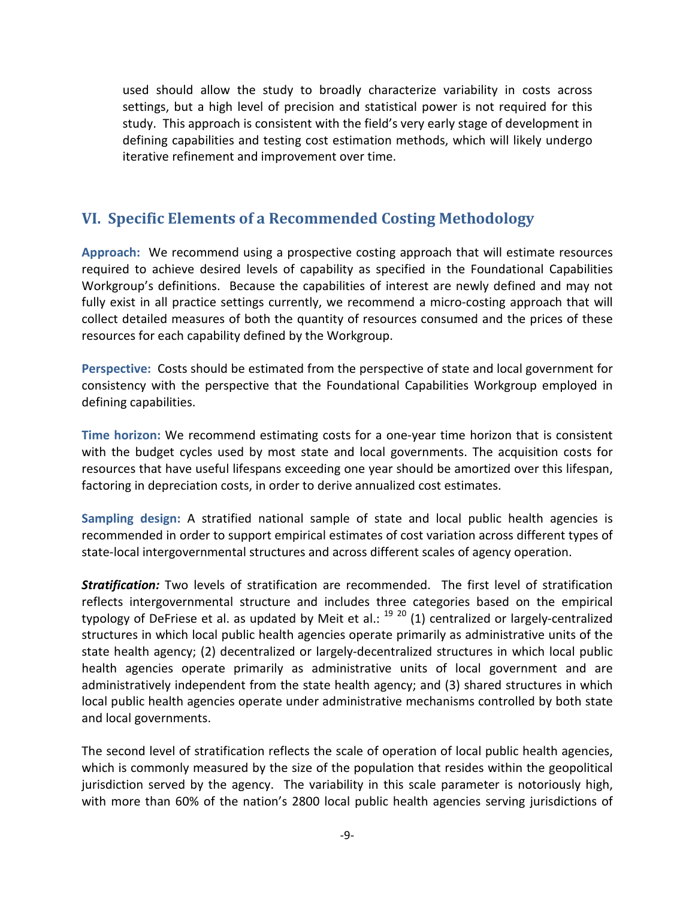used should allow the study to broadly characterize variability in costs across settings, but a high level of precision and statistical power is not required for this study. This approach is consistent with the field's very early stage of development in defining capabilities and testing cost estimation methods, which will likely undergo iterative refinement and improvement over time.

#### <span id="page-9-0"></span>**VI. Specific Elements of a Recommended Costing Methodology**

**Approach:** We recommend using a prospective costing approach that will estimate resources required to achieve desired levels of capability as specified in the Foundational Capabilities Workgroup's definitions. Because the capabilities of interest are newly defined and may not fully exist in all practice settings currently, we recommend a micro-costing approach that will collect detailed measures of both the quantity of resources consumed and the prices of these resources for each capability defined by the Workgroup.

**Perspective:** Costs should be estimated from the perspective of state and local government for consistency with the perspective that the Foundational Capabilities Workgroup employed in defining capabilities.

**Time horizon:** We recommend estimating costs for a one-year time horizon that is consistent with the budget cycles used by most state and local governments. The acquisition costs for resources that have useful lifespans exceeding one year should be amortized over this lifespan, factoring in depreciation costs, in order to derive annualized cost estimates.

**Sampling design:** A stratified national sample of state and local public health agencies is recommended in order to support empirical estimates of cost variation across different types of state-local intergovernmental structures and across different scales of agency operation.

*Stratification:* Two levels of stratification are recommended. The first level of stratification reflects intergovernmental structure and includes three categories based on the empirical typology of DeFriese et al. as updated by Meit et al.: <sup>[19](#page-15-3) [20](#page-15-4)</sup> (1) centralized or largely-centralized structures in which local public health agencies operate primarily as administrative units of the state health agency; (2) decentralized or largely-decentralized structures in which local public health agencies operate primarily as administrative units of local government and are administratively independent from the state health agency; and (3) shared structures in which local public health agencies operate under administrative mechanisms controlled by both state and local governments.

The second level of stratification reflects the scale of operation of local public health agencies, which is commonly measured by the size of the population that resides within the geopolitical jurisdiction served by the agency. The variability in this scale parameter is notoriously high, with more than 60% of the nation's 2800 local public health agencies serving jurisdictions of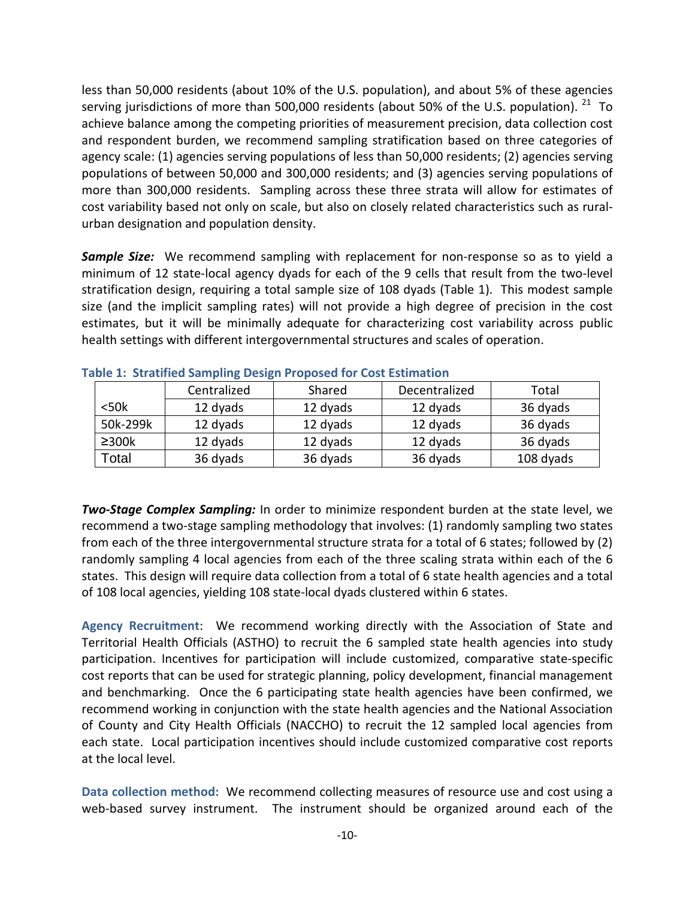less than 50,000 residents (about 10% of the U.S. population), and about 5% of these agencies serving jurisdictions of more than 500,000 residents (about 50% of the U.S. population).  $^{21}$  To achieve balance among the competing priorities of measurement precision, data collection cost and respondent burden, we recommend sampling stratification based on three categories of agency scale: (1) agencies serving populations of less than 50,000 residents; (2) agencies serving populations of between 50,000 and 300,000 residents; and (3) agencies serving populations of more than 300,000 residents. Sampling across these three strata will allow for estimates of cost variability based not only on scale, but also on closely related characteristics such as ruralurban designation and population density.

*Sample Size:* We recommend sampling with replacement for non-response so as to yield a minimum of 12 state-local agency dyads for each of the 9 cells that result from the two-level stratification design, requiring a total sample size of 108 dyads (Table 1). This modest sample size (and the implicit sampling rates) will not provide a high degree of precision in the cost estimates, but it will be minimally adequate for characterizing cost variability across public health settings with different intergovernmental structures and scales of operation.

|                | Centralized | Decentralized<br>Shared |          | Total     |  |  |
|----------------|-------------|-------------------------|----------|-----------|--|--|
| $<$ 50 $k$     | 12 dyads    | 12 dyads                | 12 dyads | 36 dyads  |  |  |
| 50k-299k       | 12 dyads    | 12 dyads                | 12 dyads | 36 dyads  |  |  |
| $\geq$ 300 $k$ | 12 dyads    | 12 dyads                | 12 dyads | 36 dyads  |  |  |
| Total          | 36 dyads    | 36 dyads                | 36 dyads | 108 dyads |  |  |

|  |  |  |  |  |  |  | <b>Table 1: Stratified Sampling Design Proposed for Cost Estimation</b> |
|--|--|--|--|--|--|--|-------------------------------------------------------------------------|
|--|--|--|--|--|--|--|-------------------------------------------------------------------------|

*Two-Stage Complex Sampling:* In order to minimize respondent burden at the state level, we recommend a two-stage sampling methodology that involves: (1) randomly sampling two states from each of the three intergovernmental structure strata for a total of 6 states; followed by (2) randomly sampling 4 local agencies from each of the three scaling strata within each of the 6 states. This design will require data collection from a total of 6 state health agencies and a total of 108 local agencies, yielding 108 state-local dyads clustered within 6 states.

**Agency Recruitment**: We recommend working directly with the Association of State and Territorial Health Officials (ASTHO) to recruit the 6 sampled state health agencies into study participation. Incentives for participation will include customized, comparative state-specific cost reports that can be used for strategic planning, policy development, financial management and benchmarking. Once the 6 participating state health agencies have been confirmed, we recommend working in conjunction with the state health agencies and the National Association of County and City Health Officials (NACCHO) to recruit the 12 sampled local agencies from each state. Local participation incentives should include customized comparative cost reports at the local level.

**Data collection method:** We recommend collecting measures of resource use and cost using a web-based survey instrument. The instrument should be organized around each of the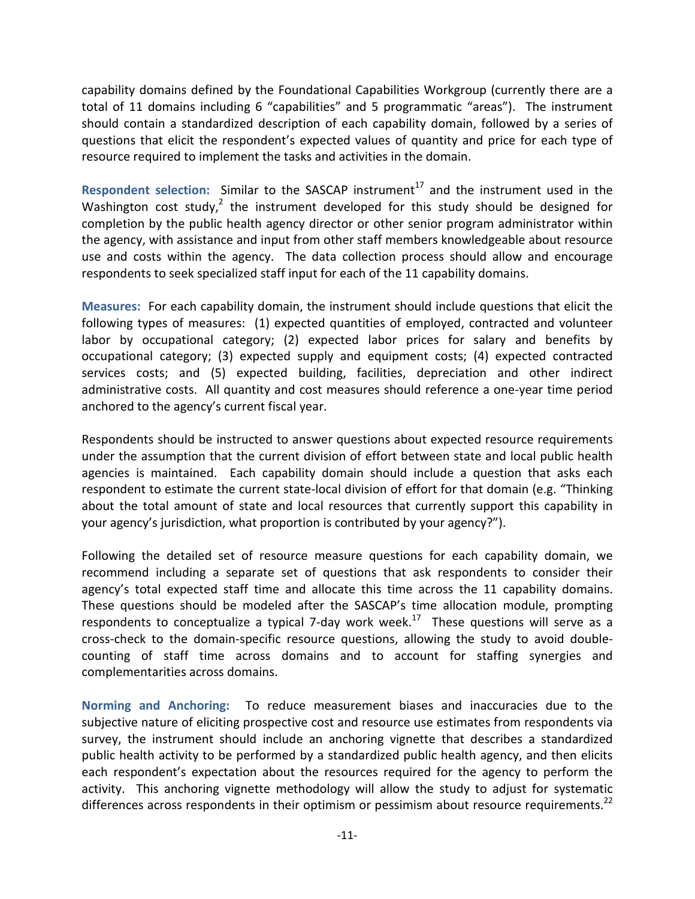capability domains defined by the Foundational Capabilities Workgroup (currently there are a total of 11 domains including 6 "capabilities" and 5 programmatic "areas"). The instrument should contain a standardized description of each capability domain, followed by a series of questions that elicit the respondent's expected values of quantity and price for each type of resource required to implement the tasks and activities in the domain.

**Respondent selection:** Similar to the SASCAP instrument<sup>[17](#page-15-1)</sup> and the instrument used in the Washington cost study,<sup>2</sup> the instrument developed for this study should be designed for completion by the public health agency director or other senior program administrator within the agency, with assistance and input from other staff members knowledgeable about resource use and costs within the agency. The data collection process should allow and encourage respondents to seek specialized staff input for each of the 11 capability domains.

**Measures:** For each capability domain, the instrument should include questions that elicit the following types of measures: (1) expected quantities of employed, contracted and volunteer labor by occupational category; (2) expected labor prices for salary and benefits by occupational category; (3) expected supply and equipment costs; (4) expected contracted services costs; and (5) expected building, facilities, depreciation and other indirect administrative costs. All quantity and cost measures should reference a one-year time period anchored to the agency's current fiscal year.

Respondents should be instructed to answer questions about expected resource requirements under the assumption that the current division of effort between state and local public health agencies is maintained. Each capability domain should include a question that asks each respondent to estimate the current state-local division of effort for that domain (e.g. "Thinking about the total amount of state and local resources that currently support this capability in your agency's jurisdiction, what proportion is contributed by your agency?").

Following the detailed set of resource measure questions for each capability domain, we recommend including a separate set of questions that ask respondents to consider their agency's total expected staff time and allocate this time across the 11 capability domains. These questions should be modeled after the SASCAP's time allocation module, prompting respondents to conceptualize a typical 7-day work week.<sup>17</sup> These questions will serve as a cross-check to the domain-specific resource questions, allowing the study to avoid doublecounting of staff time across domains and to account for staffing synergies and complementarities across domains.

**Norming and Anchoring:** To reduce measurement biases and inaccuracies due to the subjective nature of eliciting prospective cost and resource use estimates from respondents via survey, the instrument should include an anchoring vignette that describes a standardized public health activity to be performed by a standardized public health agency, and then elicits each respondent's expectation about the resources required for the agency to perform the activity. This anchoring vignette methodology will allow the study to adjust for systematic differences across respondents in their optimism or pessimism about resource requirements.<sup>22</sup>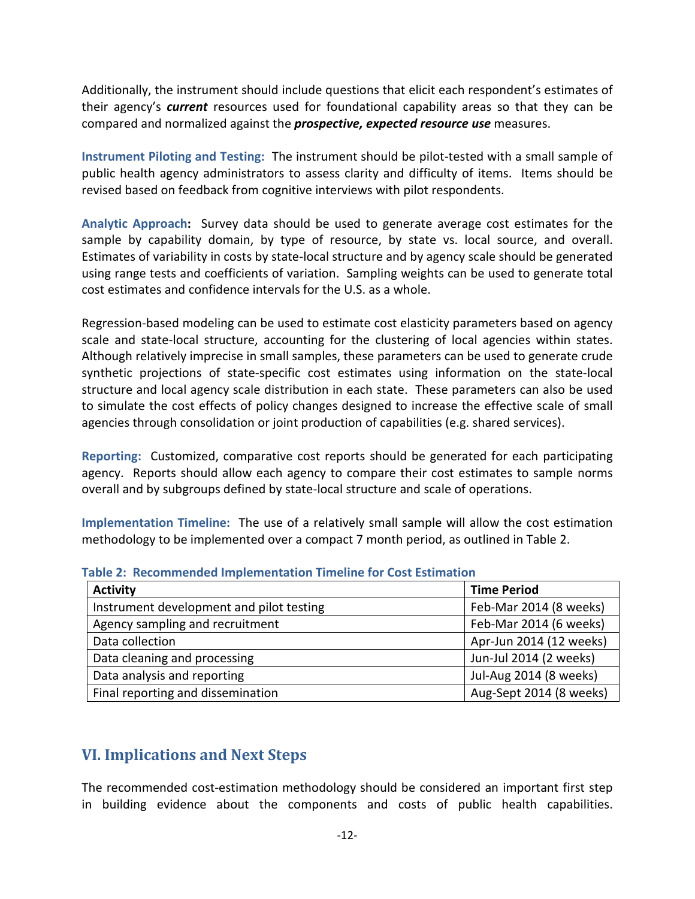Additionally, the instrument should include questions that elicit each respondent's estimates of their agency's *current* resources used for foundational capability areas so that they can be compared and normalized against the *prospective, expected resource use* measures.

**Instrument Piloting and Testing:** The instrument should be pilot-tested with a small sample of public health agency administrators to assess clarity and difficulty of items. Items should be revised based on feedback from cognitive interviews with pilot respondents.

**Analytic Approach:** Survey data should be used to generate average cost estimates for the sample by capability domain, by type of resource, by state vs. local source, and overall. Estimates of variability in costs by state-local structure and by agency scale should be generated using range tests and coefficients of variation. Sampling weights can be used to generate total cost estimates and confidence intervals for the U.S. as a whole.

Regression-based modeling can be used to estimate cost elasticity parameters based on agency scale and state-local structure, accounting for the clustering of local agencies within states. Although relatively imprecise in small samples, these parameters can be used to generate crude synthetic projections of state-specific cost estimates using information on the state-local structure and local agency scale distribution in each state. These parameters can also be used to simulate the cost effects of policy changes designed to increase the effective scale of small agencies through consolidation or joint production of capabilities (e.g. shared services).

**Reporting:** Customized, comparative cost reports should be generated for each participating agency. Reports should allow each agency to compare their cost estimates to sample norms overall and by subgroups defined by state-local structure and scale of operations.

**Implementation Timeline:** The use of a relatively small sample will allow the cost estimation methodology to be implemented over a compact 7 month period, as outlined in Table 2.

| <b>Activity</b>                          | <b>Time Period</b>      |
|------------------------------------------|-------------------------|
| Instrument development and pilot testing | Feb-Mar 2014 (8 weeks)  |
| Agency sampling and recruitment          | Feb-Mar 2014 (6 weeks)  |
| Data collection                          | Apr-Jun 2014 (12 weeks) |
| Data cleaning and processing             | Jun-Jul 2014 (2 weeks)  |
| Data analysis and reporting              | Jul-Aug 2014 (8 weeks)  |
| Final reporting and dissemination        | Aug-Sept 2014 (8 weeks) |

**Table 2: Recommended Implementation Timeline for Cost Estimation**

# <span id="page-12-0"></span>**VI. Implications and Next Steps**

The recommended cost-estimation methodology should be considered an important first step in building evidence about the components and costs of public health capabilities.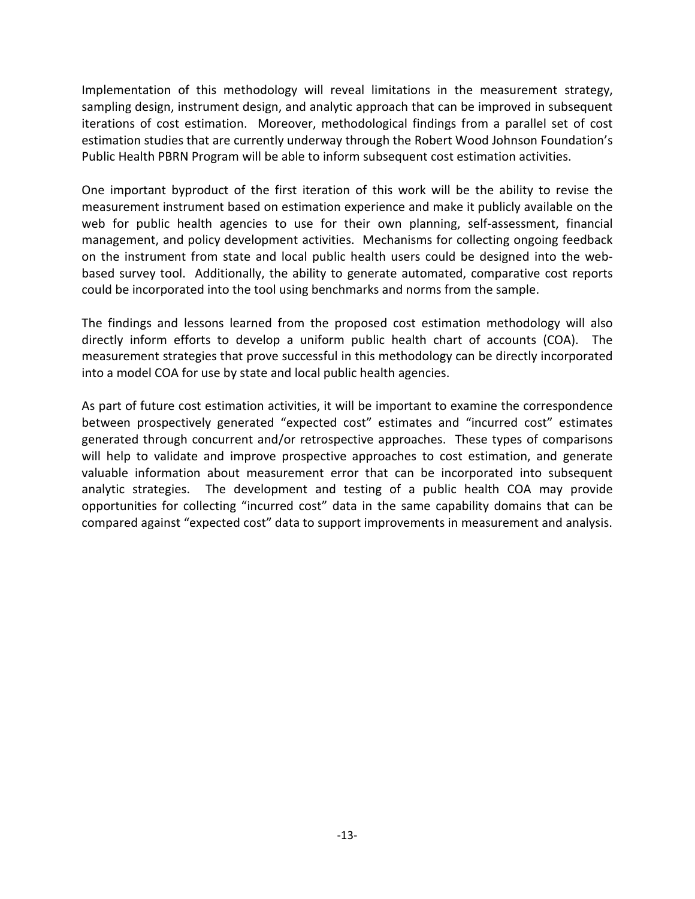Implementation of this methodology will reveal limitations in the measurement strategy, sampling design, instrument design, and analytic approach that can be improved in subsequent iterations of cost estimation. Moreover, methodological findings from a parallel set of cost estimation studies that are currently underway through the Robert Wood Johnson Foundation's Public Health PBRN Program will be able to inform subsequent cost estimation activities.

One important byproduct of the first iteration of this work will be the ability to revise the measurement instrument based on estimation experience and make it publicly available on the web for public health agencies to use for their own planning, self-assessment, financial management, and policy development activities. Mechanisms for collecting ongoing feedback on the instrument from state and local public health users could be designed into the webbased survey tool. Additionally, the ability to generate automated, comparative cost reports could be incorporated into the tool using benchmarks and norms from the sample.

The findings and lessons learned from the proposed cost estimation methodology will also directly inform efforts to develop a uniform public health chart of accounts (COA). The measurement strategies that prove successful in this methodology can be directly incorporated into a model COA for use by state and local public health agencies.

<span id="page-13-0"></span>As part of future cost estimation activities, it will be important to examine the correspondence between prospectively generated "expected cost" estimates and "incurred cost" estimates generated through concurrent and/or retrospective approaches. These types of comparisons will help to validate and improve prospective approaches to cost estimation, and generate valuable information about measurement error that can be incorporated into subsequent analytic strategies. The development and testing of a public health COA may provide opportunities for collecting "incurred cost" data in the same capability domains that can be compared against "expected cost" data to support improvements in measurement and analysis.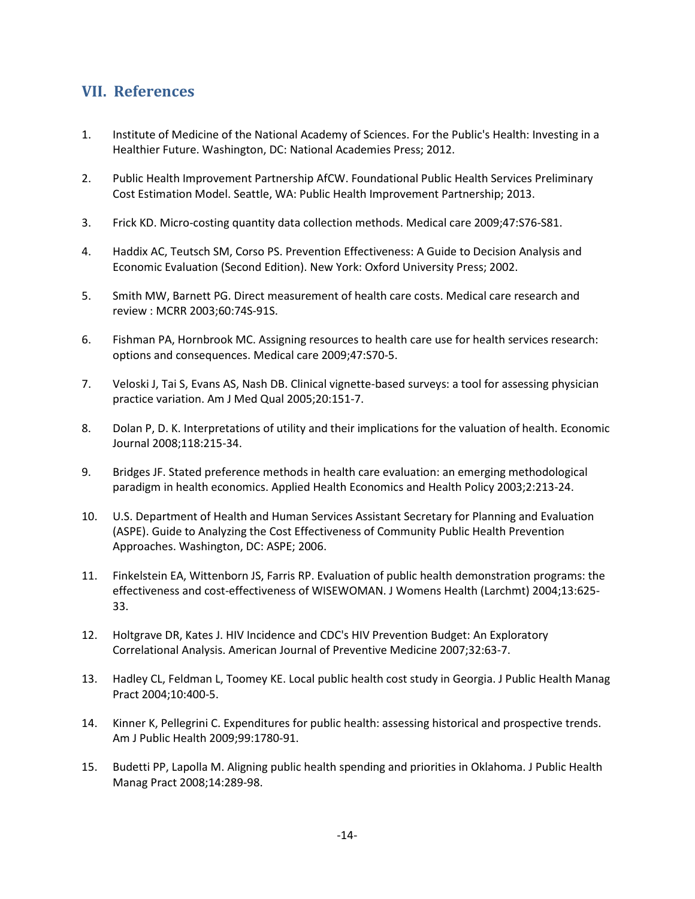#### **VII. References**

- <span id="page-14-0"></span>1. Institute of Medicine of the National Academy of Sciences. For the Public's Health: Investing in a Healthier Future. Washington, DC: National Academies Press; 2012.
- <span id="page-14-1"></span>2. Public Health Improvement Partnership AfCW. Foundational Public Health Services Preliminary Cost Estimation Model. Seattle, WA: Public Health Improvement Partnership; 2013.
- <span id="page-14-2"></span>3. Frick KD. Micro-costing quantity data collection methods. Medical care 2009;47:S76-S81.
- <span id="page-14-3"></span>4. Haddix AC, Teutsch SM, Corso PS. Prevention Effectiveness: A Guide to Decision Analysis and Economic Evaluation (Second Edition). New York: Oxford University Press; 2002.
- <span id="page-14-4"></span>5. Smith MW, Barnett PG. Direct measurement of health care costs. Medical care research and review : MCRR 2003;60:74S-91S.
- <span id="page-14-5"></span>6. Fishman PA, Hornbrook MC. Assigning resources to health care use for health services research: options and consequences. Medical care 2009;47:S70-5.
- <span id="page-14-6"></span>7. Veloski J, Tai S, Evans AS, Nash DB. Clinical vignette-based surveys: a tool for assessing physician practice variation. Am J Med Qual 2005;20:151-7.
- <span id="page-14-7"></span>8. Dolan P, D. K. Interpretations of utility and their implications for the valuation of health. Economic Journal 2008;118:215-34.
- <span id="page-14-8"></span>9. Bridges JF. Stated preference methods in health care evaluation: an emerging methodological paradigm in health economics. Applied Health Economics and Health Policy 2003;2:213-24.
- <span id="page-14-9"></span>10. U.S. Department of Health and Human Services Assistant Secretary for Planning and Evaluation (ASPE). Guide to Analyzing the Cost Effectiveness of Community Public Health Prevention Approaches. Washington, DC: ASPE; 2006.
- <span id="page-14-10"></span>11. Finkelstein EA, Wittenborn JS, Farris RP. Evaluation of public health demonstration programs: the effectiveness and cost-effectiveness of WISEWOMAN. J Womens Health (Larchmt) 2004;13:625- 33.
- <span id="page-14-11"></span>12. Holtgrave DR, Kates J. HIV Incidence and CDC's HIV Prevention Budget: An Exploratory Correlational Analysis. American Journal of Preventive Medicine 2007;32:63-7.
- <span id="page-14-12"></span>13. Hadley CL, Feldman L, Toomey KE. Local public health cost study in Georgia. J Public Health Manag Pract 2004;10:400-5.
- <span id="page-14-13"></span>14. Kinner K, Pellegrini C. Expenditures for public health: assessing historical and prospective trends. Am J Public Health 2009;99:1780-91.
- <span id="page-14-14"></span>15. Budetti PP, Lapolla M. Aligning public health spending and priorities in Oklahoma. J Public Health Manag Pract 2008;14:289-98.